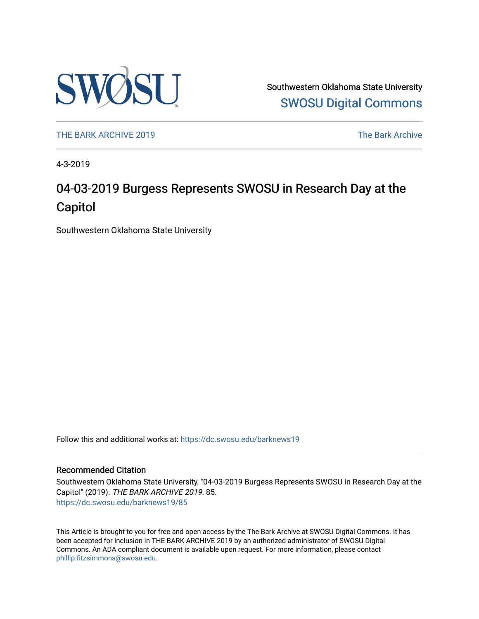

Southwestern Oklahoma State University [SWOSU Digital Commons](https://dc.swosu.edu/) 

[THE BARK ARCHIVE 2019](https://dc.swosu.edu/barknews19) The Bark Archive

4-3-2019

# 04-03-2019 Burgess Represents SWOSU in Research Day at the Capitol

Southwestern Oklahoma State University

Follow this and additional works at: [https://dc.swosu.edu/barknews19](https://dc.swosu.edu/barknews19?utm_source=dc.swosu.edu%2Fbarknews19%2F85&utm_medium=PDF&utm_campaign=PDFCoverPages)

#### Recommended Citation

Southwestern Oklahoma State University, "04-03-2019 Burgess Represents SWOSU in Research Day at the Capitol" (2019). THE BARK ARCHIVE 2019. 85. [https://dc.swosu.edu/barknews19/85](https://dc.swosu.edu/barknews19/85?utm_source=dc.swosu.edu%2Fbarknews19%2F85&utm_medium=PDF&utm_campaign=PDFCoverPages) 

This Article is brought to you for free and open access by the The Bark Archive at SWOSU Digital Commons. It has been accepted for inclusion in THE BARK ARCHIVE 2019 by an authorized administrator of SWOSU Digital Commons. An ADA compliant document is available upon request. For more information, please contact [phillip.fitzsimmons@swosu.edu](mailto:phillip.fitzsimmons@swosu.edu).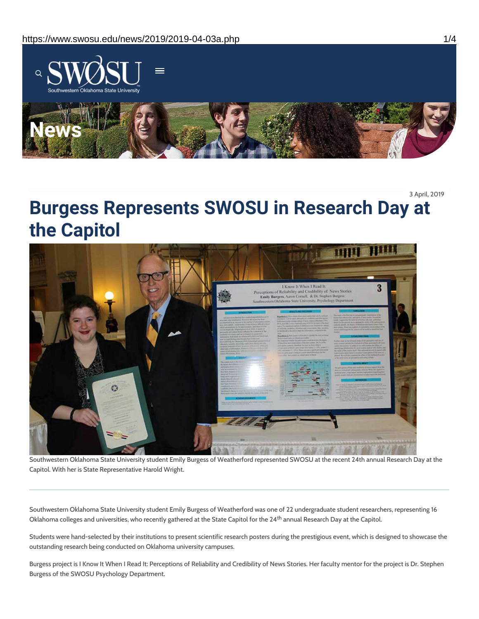

3 April, 2019

# **Burgess Represents SWOSU in Research Day at the Capitol**



Southwestern Oklahoma State University student Emily Burgess of Weatherford represented SWOSU at the recent 24th annual Research Day at the Capitol. With her is State Representative Harold Wright.

Southwestern Oklahoma State University student Emily Burgess of Weatherford was one of 22 undergraduate student researchers, representing 16 Oklahoma colleges and universities, who recently gathered at the State Capitol for the 24<sup>th</sup> annual Research Day at the Capitol.

Students were hand-selected by their institutions to present scientific research posters during the prestigious event, which is designed to showcase the outstanding research being conducted on Oklahoma university campuses.

Burgess project is I Know It When I Read It: Perceptions of Reliability and Credibility of News Stories. Her faculty mentor for the project is Dr. Stephen Burgess of the SWOSU Psychology Department.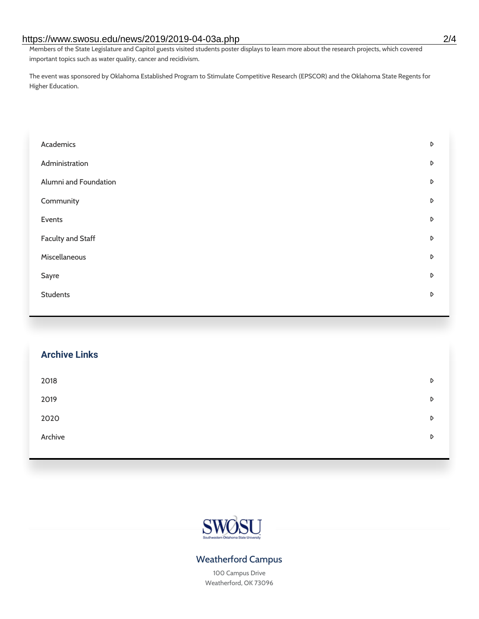#### https://www.swosu.edu/news/2019/2019-04-03a.php 2/4

Members of the State Legislature and Capitol guests visited students poster displays to learn more about the research projects, which covered important topics such as water quality, cancer and recidivism.

The event was sponsored by Oklahoma Established Program to Stimulate Competitive Research (EPSCOR) and the Oklahoma State Regents for Higher Education.

| Academics                | D                |
|--------------------------|------------------|
| Administration           | D                |
| Alumni and Foundation    | D                |
| Community                | D                |
| Events                   | D                |
| <b>Faculty and Staff</b> | $\triangleright$ |
| Miscellaneous            | D                |
| Sayre                    | D                |
| <b>Students</b>          | D                |
|                          |                  |

## **Archive Links**

| 2018    | D |
|---------|---|
| 2019    | D |
| 2020    | D |
| Archive | D |
|         |   |



## Weatherford Campus

100 Campus Drive Weatherford, OK 73096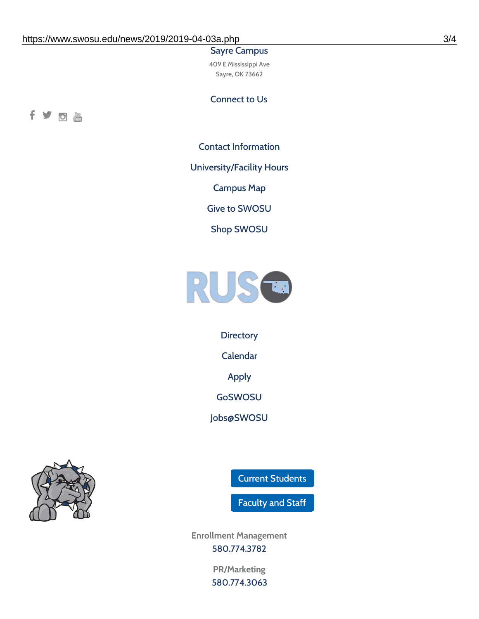#### Sayre Campus

409 E Mississippi Ave Sayre, OK 73662

Connect to Us



Contact [Information](https://www.swosu.edu/about/contact.php)

[University/Facility](https://www.swosu.edu/about/operating-hours.php) Hours

[Campus](https://map.concept3d.com/?id=768#!ct/10964,10214,10213,10212,10205,10204,10203,10202,10136,10129,10128,0,31226,10130,10201,10641,0) Map

Give to [SWOSU](https://standingfirmly.com/donate)

Shop [SWOSU](https://shopswosu.merchorders.com/)



**[Directory](https://www.swosu.edu/directory/index.php)** 

[Calendar](https://eventpublisher.dudesolutions.com/swosu/)

[Apply](https://www.swosu.edu/admissions/apply-to-swosu.php)

[GoSWOSU](https://qlsso.quicklaunchsso.com/home/1267)

[Jobs@SWOSU](https://swosu.csod.com/ux/ats/careersite/1/home?c=swosu)



Current [Students](https://bulldog.swosu.edu/index.php)

[Faculty](https://bulldog.swosu.edu/faculty-staff/index.php) and Staff

**Enrollment Management** [580.774.3782](tel:5807743782)

> **PR/Marketing** [580.774.3063](tel:5807743063)